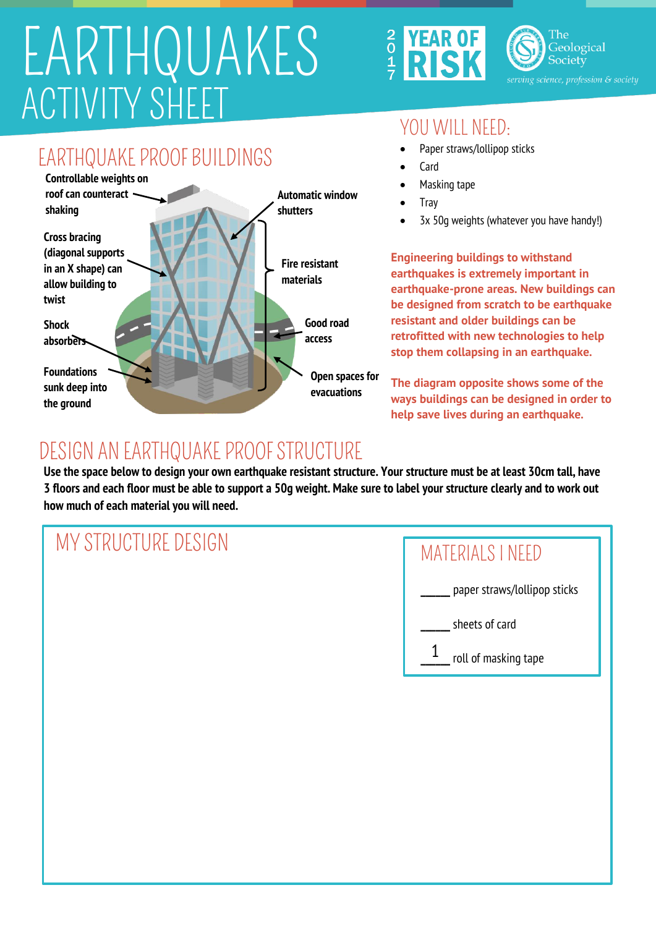## ACTIVITY SHEET EARTHQUAKES



The Geological Society

#### YOU WILL NEED:

- Paper straws/lollipop sticks
- Card
- Masking tape
- Tray
- 3x 50g weights (whatever you have handy!)

**Engineering buildings to withstand earthquakes is extremely important in earthquake-prone areas. New buildings can be designed from scratch to be earthquake resistant and older buildings can be retrofitted with new technologies to help stop them collapsing in an earthquake.**

**The diagram opposite shows some of the ways buildings can be designed in order to help save lives during an earthquake.**

### DESIGN AN EARTHQUAKE PROOF STRUCTURE

**the ground**

**Use the space below to design your own earthquake resistant structure. Your structure must be at least 30cm tall, have 3 floors and each floor must be able to support a 50g weight. Make sure to label your structure clearly and to work out how much of each material you will need.**

| MY STRUCTURE DESIGN | MATERIALS I NEED             |
|---------------------|------------------------------|
|                     | paper straws/lollipop sticks |
|                     | sheets of card               |
|                     | roll of masking tape         |
|                     |                              |
|                     |                              |
|                     |                              |
|                     |                              |
|                     |                              |